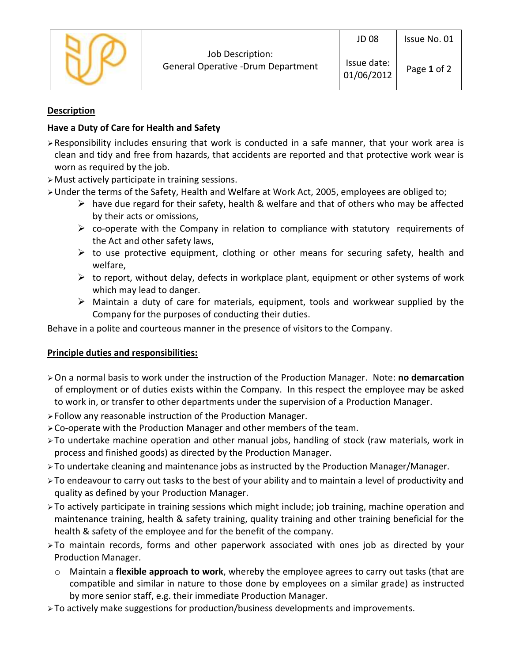|  |                                                         | <b>JD 08</b>              | Issue No. 01 |
|--|---------------------------------------------------------|---------------------------|--------------|
|  | Job Description:<br>General Operative - Drum Department | Issue date:<br>01/06/2012 | Page 1 of 2  |

### **Description**

# **Have a Duty of Care for Health and Safety**

- ➢Responsibility includes ensuring that work is conducted in a safe manner, that your work area is clean and tidy and free from hazards, that accidents are reported and that protective work wear is worn as required by the job.
- ➢Must actively participate in training sessions.
- ➢Under the terms of the Safety, Health and Welfare at Work Act, 2005, employees are obliged to;
	- $\triangleright$  have due regard for their safety, health & welfare and that of others who may be affected by their acts or omissions,
	- $\triangleright$  co-operate with the Company in relation to compliance with statutory requirements of the Act and other safety laws,
	- $\triangleright$  to use protective equipment, clothing or other means for securing safety, health and welfare,
	- $\triangleright$  to report, without delay, defects in workplace plant, equipment or other systems of work which may lead to danger.
	- $\triangleright$  Maintain a duty of care for materials, equipment, tools and workwear supplied by the Company for the purposes of conducting their duties.

Behave in a polite and courteous manner in the presence of visitors to the Company.

# **Principle duties and responsibilities:**

- ➢On a normal basis to work under the instruction of the Production Manager. Note: **no demarcation** of employment or of duties exists within the Company. In this respect the employee may be asked to work in, or transfer to other departments under the supervision of a Production Manager.
- ➢Follow any reasonable instruction of the Production Manager.
- ➢Co-operate with the Production Manager and other members of the team.
- ➢To undertake machine operation and other manual jobs, handling of stock (raw materials, work in process and finished goods) as directed by the Production Manager.
- ➢To undertake cleaning and maintenance jobs as instructed by the Production Manager/Manager.
- ➢To endeavour to carry out tasks to the best of your ability and to maintain a level of productivity and quality as defined by your Production Manager.
- ➢To actively participate in training sessions which might include; job training, machine operation and maintenance training, health & safety training, quality training and other training beneficial for the health & safety of the employee and for the benefit of the company.
- ➢To maintain records, forms and other paperwork associated with ones job as directed by your Production Manager.
	- o Maintain a **flexible approach to work**, whereby the employee agrees to carry out tasks (that are compatible and similar in nature to those done by employees on a similar grade) as instructed by more senior staff, e.g. their immediate Production Manager.
- ➢To actively make suggestions for production/business developments and improvements.